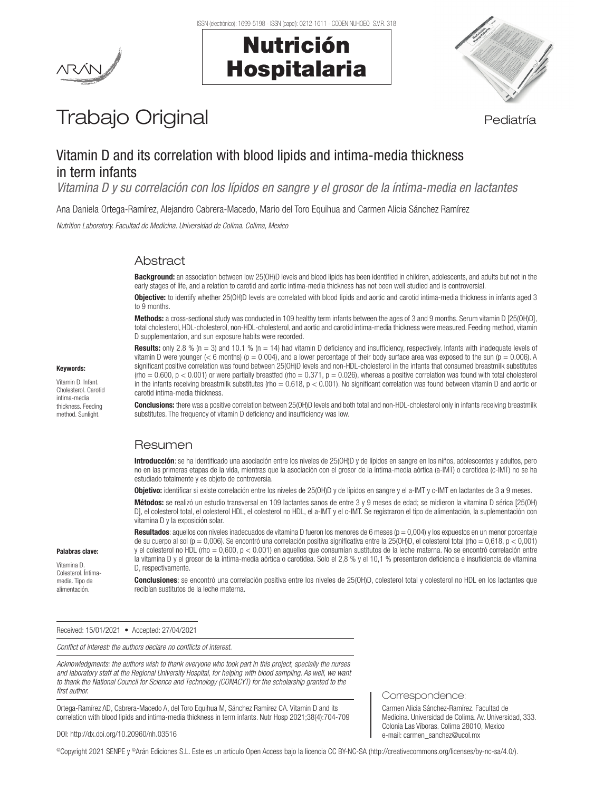Nutrición

Hospitalaria



# Trabajo Original en el estatubación de la pediatría

# Vitamin D and its correlation with blood lipids and intima-media thickness in term infants

*Vitamina D y su correlación con los lípidos en sangre y el grosor de la íntima-media en lactantes*

Ana Daniela Ortega-Ramírez, Alejandro Cabrera-Macedo, Mario del Toro Equihua and Carmen Alicia Sánchez Ramírez

*Nutrition Laboratory. Facultad de Medicina. Universidad de Colima. Colima, Mexico*

# **Abstract**

**Background:** an association between low 25(OH)D levels and blood lipids has been identified in children, adolescents, and adults but not in the early stages of life, and a relation to carotid and aortic intima-media thickness has not been well studied and is controversial.

Objective: to identify whether 25(OH)D levels are correlated with blood lipids and aortic and carotid intima-media thickness in infants aged 3 to 9 months.

Methods: a cross-sectional study was conducted in 109 healthy term infants between the ages of 3 and 9 months. Serum vitamin D [25(OH)D], total cholesterol, HDL-cholesterol, non-HDL-cholesterol, and aortic and carotid intima-media thickness were measured. Feeding method, vitamin D supplementation, and sun exposure habits were recorded.

#### Keywords:

Vitamin D. Infant. Cholesterol. Carotid intima-media thickness. Feeding method. Sunlight.

**Results:** only 2.8 % (n = 3) and 10.1 % (n = 14) had vitamin D deficiency and insufficiency, respectively. Infants with inadequate levels of vitamin D were younger (< 6 months) ( $p = 0.004$ ), and a lower percentage of their body surface area was exposed to the sun ( $p = 0.006$ ). A significant positive correlation was found between 25(OH)D levels and non-HDL-cholesterol in the infants that consumed breastmilk substitutes (rho = 0.600,  $p$  < 0.001) or were partially breastfed (rho = 0.371,  $p$  = 0.026), whereas a positive correlation was found with total cholesterol in the infants receiving breastmilk substitutes (rho =  $0.618$ ,  $p < 0.001$ ). No significant correlation was found between vitamin D and aortic or carotid intima-media thickness.

Conclusions: there was a positive correlation between 25(OH)D levels and both total and non-HDL-cholesterol only in infants receiving breastmilk substitutes. The frequency of vitamin D deficiency and insufficiency was low.

# Resumen

Introducción: se ha identificado una asociación entre los niveles de 25(OH)D y de lípidos en sangre en los niños, adolescentes y adultos, pero no en las primeras etapas de la vida, mientras que la asociación con el grosor de la íntima-media aórtica (a-IMT) o carotídea (c-IMT) no se ha estudiado totalmente y es objeto de controversia.

Objetivo: identificar si existe correlación entre los niveles de 25(OH)D y de lípidos en sangre y el a-IMT y c-IMT en lactantes de 3 a 9 meses.

Métodos: se realizó un estudio transversal en 109 lactantes sanos de entre 3 y 9 meses de edad; se midieron la vitamina D sérica [25(OH) D], el colesterol total, el colesterol HDL, el colesterol no HDL, el a-IMT y el c-IMT. Se registraron el tipo de alimentación, la suplementación con vitamina D y la exposición solar.

Resultados: aquellos con niveles inadecuados de vitamina D fueron los menores de 6 meses ( $p = 0,004$ ) y los expuestos en un menor porcentaje de su cuerpo al sol (p = 0,006). Se encontró una correlación positiva significativa entre la 25(OH)D, el colesterol total (rho = 0,618, p < 0,001) y el colesterol no HDL (rho = 0,600, p < 0.001) en aquellos que consumían sustitutos de la leche materna. No se encontró correlación entre la vitamina D y el grosor de la íntima-media aórtica o carotídea. Solo el 2,8 % y el 10,1 % presentaron deficiencia e insuficiencia de vitamina D, respectivamente.

Conclusiones: se encontró una correlación positiva entre los niveles de 25(OH)D, colesterol total y colesterol no HDL en los lactantes que recibían sustitutos de la leche materna.

#### Received: 15/01/2021 • Accepted: 27/04/2021

*Conflict of interest: the authors declare no conflicts of interest.*

*Acknowledgments: the authors wish to thank everyone who took part in this project, specially the nurses and laboratory staff at the Regional University Hospital, for helping with blood sampling. As well, we want to thank the National Council for Science and Technology (CONACYT) for the scholarship granted to the first author.*

Ortega-Ramírez AD, Cabrera-Macedo A, del Toro Equihua M, Sánchez Ramírez CA. Vitamin D and its correlation with blood lipids and intima-media thickness in term infants. Nutr Hosp 2021;38(4):704-709

#### DOI: http://dx.doi.org/10.20960/nh.03516

©Copyright 2021 SENPE y ©Arán Ediciones S.L. Este es un artículo Open Access bajo la licencia CC BY-NC-SA (http://creativecommons.org/licenses/by-nc-sa/4.0/).

#### Palabras clave: Vitamina D.

Colesterol. Íntimamedia. Tipo de alimentación.

Correspondence:

Carmen Alicia Sánchez-Ramírez. Facultad de Medicina. Universidad de Colima. Av. Universidad, 333. Colonia Las Víboras. Colima 28010, Mexico e-mail: carmen\_sanchez@ucol.mx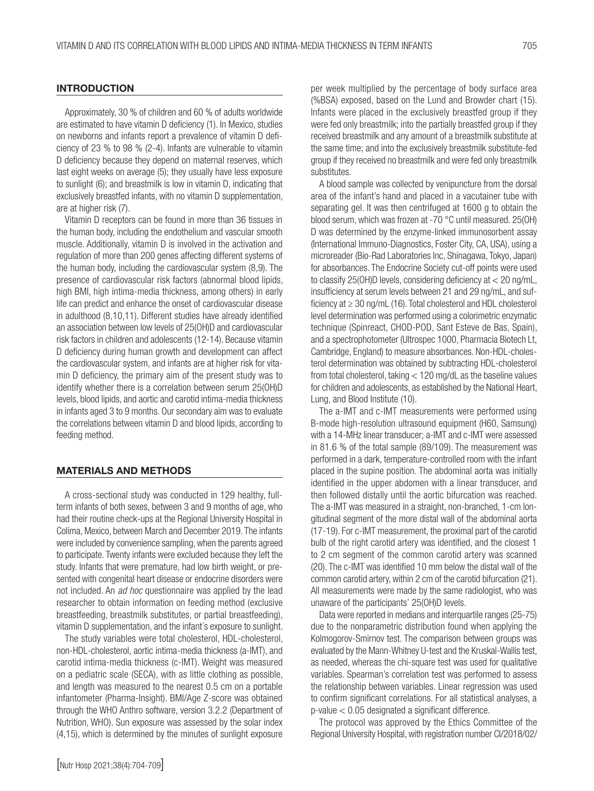## **INTRODUCTION**

Approximately, 30 % of children and 60 % of adults worldwide are estimated to have vitamin D deficiency (1). In Mexico, studies on newborns and infants report a prevalence of vitamin D deficiency of 23 % to 98 % (2-4). Infants are vulnerable to vitamin D deficiency because they depend on maternal reserves, which last eight weeks on average (5); they usually have less exposure to sunlight (6); and breastmilk is low in vitamin D, indicating that exclusively breastfed infants, with no vitamin D supplementation, are at higher risk (7).

Vitamin D receptors can be found in more than 36 tissues in the human body, including the endothelium and vascular smooth muscle. Additionally, vitamin D is involved in the activation and regulation of more than 200 genes affecting different systems of the human body, including the cardiovascular system (8,9). The presence of cardiovascular risk factors (abnormal blood lipids, high BMI, high intima-media thickness, among others) in early life can predict and enhance the onset of cardiovascular disease in adulthood (8,10,11). Different studies have already identified an association between low levels of 25(OH)D and cardiovascular risk factors in children and adolescents (12-14). Because vitamin D deficiency during human growth and development can affect the cardiovascular system, and infants are at higher risk for vitamin D deficiency, the primary aim of the present study was to identify whether there is a correlation between serum 25(OH)D levels, blood lipids, and aortic and carotid intima-media thickness in infants aged 3 to 9 months. Our secondary aim was to evaluate the correlations between vitamin D and blood lipids, according to feeding method.

#### MATERIALS AND METHODS

A cross-sectional study was conducted in 129 healthy, fullterm infants of both sexes, between 3 and 9 months of age, who had their routine check-ups at the Regional University Hospital in Colima, Mexico, between March and December 2019. The infants were included by convenience sampling, when the parents agreed to participate. Twenty infants were excluded because they left the study. Infants that were premature, had low birth weight, or presented with congenital heart disease or endocrine disorders were not included. An *ad hoc* questionnaire was applied by the lead researcher to obtain information on feeding method (exclusive breastfeeding, breastmilk substitutes, or partial breastfeeding), vitamin D supplementation, and the infant´s exposure to sunlight.

The study variables were total cholesterol, HDL-cholesterol, non-HDL-cholesterol, aortic intima-media thickness (a-IMT), and carotid intima-media thickness (c-IMT). Weight was measured on a pediatric scale (SECA), with as little clothing as possible, and length was measured to the nearest 0.5 cm on a portable infantometer (Pharma-Insight). BMI/Age Z-score was obtained through the WHO Anthro software, version 3.2.2 (Department of Nutrition, WHO). Sun exposure was assessed by the solar index (4,15), which is determined by the minutes of sunlight exposure per week multiplied by the percentage of body surface area (%BSA) exposed, based on the Lund and Browder chart (15). Infants were placed in the exclusively breastfed group if they were fed only breastmilk; into the partially breastfed group if they received breastmilk and any amount of a breastmilk substitute at the same time; and into the exclusively breastmilk substitute-fed group if they received no breastmilk and were fed only breastmilk substitutes.

A blood sample was collected by venipuncture from the dorsal area of the infant's hand and placed in a vacutainer tube with separating gel. It was then centrifuged at 1600 g to obtain the blood serum, which was frozen at -70 °C until measured. 25(OH) D was determined by the enzyme-linked immunosorbent assay (International Immuno-Diagnostics, Foster City, CA, USA), using a microreader (Bio-Rad Laboratories Inc, Shinagawa, Tokyo, Japan) for absorbances. The Endocrine Society cut-off points were used to classify 25(OH)D levels, considering deficiency at < 20 ng/mL, insufficiency at serum levels between 21 and 29 ng/mL, and sufficiency at ≥ 30 ng/mL (16). Total cholesterol and HDL cholesterol level determination was performed using a colorimetric enzymatic technique (Spinreact, CHOD-POD, Sant Esteve de Bas, Spain), and a spectrophotometer (Ultrospec 1000, Pharmacia Biotech Lt, Cambridge, England) to measure absorbances. Non-HDL-cholesterol determination was obtained by subtracting HDL-cholesterol from total cholesterol, taking < 120 mg/dL as the baseline values for children and adolescents, as established by the National Heart, Lung, and Blood Institute (10).

The a-IMT and c-IMT measurements were performed using B-mode high-resolution ultrasound equipment (H60, Samsung) with a 14-MHz linear transducer; a-IMT and c-IMT were assessed in 81.6 % of the total sample (89/109). The measurement was performed in a dark, temperature-controlled room with the infant placed in the supine position. The abdominal aorta was initially identified in the upper abdomen with a linear transducer, and then followed distally until the aortic bifurcation was reached. The a-IMT was measured in a straight, non-branched, 1-cm longitudinal segment of the more distal wall of the abdominal aorta (17-19). For c-IMT measurement, the proximal part of the carotid bulb of the right carotid artery was identified, and the closest 1 to 2 cm segment of the common carotid artery was scanned (20). The c-IMT was identified 10 mm below the distal wall of the common carotid artery, within 2 cm of the carotid bifurcation (21). All measurements were made by the same radiologist, who was unaware of the participants' 25(OH)D levels.

Data were reported in medians and interquartile ranges (25-75) due to the nonparametric distribution found when applying the Kolmogorov-Smirnov test. The comparison between groups was evaluated by the Mann-Whitney U-test and the Kruskal-Wallis test, as needed, whereas the chi-square test was used for qualitative variables. Spearman's correlation test was performed to assess the relationship between variables. Linear regression was used to confirm significant correlations. For all statistical analyses, a p-value < 0.05 designated a significant difference.

The protocol was approved by the Ethics Committee of the Regional University Hospital, with registration number CI/2018/02/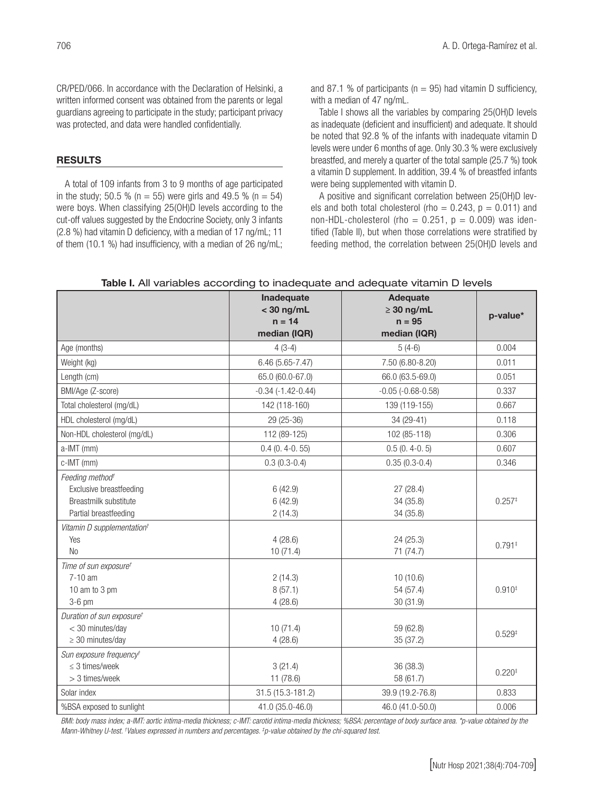CR/PED/066. In accordance with the Declaration of Helsinki, a written informed consent was obtained from the parents or legal guardians agreeing to participate in the study; participant privacy was protected, and data were handled confidentially.

## RESULTS

A total of 109 infants from 3 to 9 months of age participated in the study; 50.5 % (n = 55) were girls and 49.5 % (n = 54) were boys. When classifying 25(OH)D levels according to the cut-off values suggested by the Endocrine Society, only 3 infants (2.8 %) had vitamin D deficiency, with a median of 17 ng/mL; 11 of them (10.1 %) had insufficiency, with a median of 26 ng/mL; and 87.1 % of participants ( $n = 95$ ) had vitamin D sufficiency, with a median of 47 ng/mL.

Table I shows all the variables by comparing 25(OH)D levels as inadequate (deficient and insufficient) and adequate. It should be noted that 92.8 % of the infants with inadequate vitamin D levels were under 6 months of age. Only 30.3 % were exclusively breastfed, and merely a quarter of the total sample (25.7 %) took a vitamin D supplement. In addition, 39.4 % of breastfed infants were being supplemented with vitamin D.

A positive and significant correlation between 25(OH)D levels and both total cholesterol (rho  $= 0.243$ ,  $p = 0.011$ ) and non-HDL-cholesterol (rho =  $0.251$ ,  $p = 0.009$ ) was identified (Table II), but when those correlations were stratified by feeding method, the correlation between 25(OH)D levels and

|                                                                                                                                                           | Inadequate<br>$<$ 30 ng/mL<br>$n = 14$   | Adequate<br>$\geq 30$ ng/mL<br>$n = 95$         | p-value*             |
|-----------------------------------------------------------------------------------------------------------------------------------------------------------|------------------------------------------|-------------------------------------------------|----------------------|
|                                                                                                                                                           | median (IQR)                             | median (IQR)                                    |                      |
| Age (months)                                                                                                                                              | $4(3-4)$                                 | $5(4-6)$                                        | 0.004                |
| Weight (kg)                                                                                                                                               | 6.46 (5.65-7.47)                         | 7.50 (6.80-8.20)                                | 0.011                |
| Length (cm)                                                                                                                                               | 65.0 (60.0-67.0)                         | 66.0 (63.5-69.0)                                | 0.051                |
| BMI/Age (Z-score)                                                                                                                                         | $-0.34$ $(-1.42 - 0.44)$                 | $-0.05$ $(-0.68 - 0.58)$                        | 0.337                |
| Total cholesterol (mg/dL)                                                                                                                                 | 142 (118-160)                            | 139 (119-155)                                   | 0.667                |
| HDL cholesterol (mg/dL)                                                                                                                                   | 29 (25-36)                               | 34 (29-41)                                      | 0.118                |
| Non-HDL cholesterol (mg/dL)                                                                                                                               | 112 (89-125)                             | 102 (85-118)                                    | 0.306                |
| a-IMT (mm)                                                                                                                                                | $0.4(0.4-0.55)$                          | $0.5(0.4-0.5)$                                  | 0.607                |
| c-IMT (mm)                                                                                                                                                | $0.3(0.3-0.4)$                           | $0.35(0.3-0.4)$                                 | 0.346                |
| Feeding method <sup>+</sup><br>Exclusive breastfeeding<br>Breastmilk substitute<br>Partial breastfeeding<br>Vitamin D supplementation <sup>+</sup><br>Yes | 6(42.9)<br>6(42.9)<br>2(14.3)<br>4(28.6) | 27(28.4)<br>34 (35.8)<br>34 (35.8)<br>24 (25.3) | $0.257*$<br>$0.791*$ |
| N <sub>0</sub>                                                                                                                                            | 10(71.4)                                 | 71 (74.7)                                       |                      |
| Time of sun exposuret<br>$7-10$ am<br>10 am to 3 pm<br>$3-6$ pm                                                                                           | 2(14.3)<br>8(57.1)<br>4(28.6)            | 10(10.6)<br>54 (57.4)<br>30(31.9)               | $0.910*$             |
| Duration of sun exposure <sup>t</sup><br>< 30 minutes/day<br>$\geq$ 30 minutes/day                                                                        | 10(71.4)<br>4(28.6)                      | 59 (62.8)<br>35 (37.2)                          | $0.529*$             |
| Sun exposure frequency <sup>+</sup><br>$\leq$ 3 times/week<br>> 3 times/week                                                                              | 3(21.4)<br>11 (78.6)                     | 36 (38.3)<br>58 (61.7)                          | $0.220*$             |
| Solar index                                                                                                                                               | 31.5 (15.3-181.2)                        | 39.9 (19.2-76.8)                                | 0.833                |
| %BSA exposed to sunlight                                                                                                                                  | 41.0 (35.0-46.0)                         | 46.0 (41.0-50.0)                                | 0.006                |

## Table I. All variables according to inadequate and adequate vitamin D levels

*BMI: body mass index; a-IMT: aortic intima-media thickness; c-IMT: carotid intima-media thickness; %BSA: percentage of body surface area. \*p-value obtained by the Mann-Whitney U-test. † Values expressed in numbers and percentages. ‡ p-value obtained by the chi-squared test.*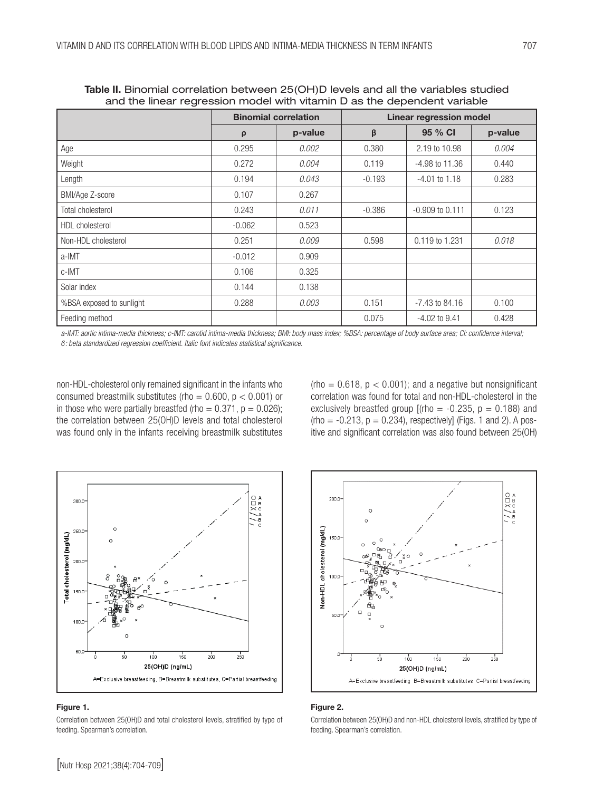|                          | <b>Binomial correlation</b> |         | <b>Linear regression model</b> |                     |         |
|--------------------------|-----------------------------|---------|--------------------------------|---------------------|---------|
|                          | $\rho$                      | p-value | β                              | 95 % CI             | p-value |
| Age                      | 0.295                       | 0.002   | 0.380                          | 2.19 to 10.98       | 0.004   |
| Weight                   | 0.272                       | 0.004   | 0.119                          | $-4.98$ to $11.36$  | 0.440   |
| Length                   | 0.194                       | 0.043   | $-0.193$                       | $-4.01$ to $1.18$   | 0.283   |
| BMI/Age Z-score          | 0.107                       | 0.267   |                                |                     |         |
| <b>Total cholesterol</b> | 0.243                       | 0.011   | $-0.386$                       | $-0.909$ to $0.111$ | 0.123   |
| <b>HDL</b> cholesterol   | $-0.062$                    | 0.523   |                                |                     |         |
| Non-HDL cholesterol      | 0.251                       | 0.009   | 0.598                          | 0.119 to 1.231      | 0.018   |
| a-IMT                    | $-0.012$                    | 0.909   |                                |                     |         |
| c-IMT                    | 0.106                       | 0.325   |                                |                     |         |
| Solar index              | 0.144                       | 0.138   |                                |                     |         |
| %BSA exposed to sunlight | 0.288                       | 0.003   | 0.151                          | -7.43 to 84.16      | 0.100   |
| Feeding method           |                             |         | 0.075                          | $-4.02$ to $9.41$   | 0.428   |

Table II. Binomial correlation between 25(OH)D levels and all the variables studied and the linear regression model with vitamin D as the dependent variable

a-IMT: aortic intima-media thickness; c-IMT: carotid intima-media thickness; BMI: body mass index; %BSA: percentage of body surface area; CI: confidence interval;  $$ 

non-HDL-cholesterol only remained significant in the infants who consumed breastmilk substitutes (rho =  $0.600$ ,  $p < 0.001$ ) or in those who were partially breastfed (rho =  $0.371$ , p =  $0.026$ ); the correlation between 25(OH)D levels and total cholesterol was found only in the infants receiving breastmilk substitutes

(rho =  $0.618$ ,  $p < 0.001$ ); and a negative but nonsignificant correlation was found for total and non-HDL-cholesterol in the exclusively breastfed group  $[(rho = -0.235, p = 0.188)$  and  $(rho = -0.213, p = 0.234)$ , respectively] (Figs. 1 and 2). A positive and significant correlation was also found between 25(OH)



#### Figure 1.

Correlation between 25(OH)D and total cholesterol levels, stratified by type of feeding. Spearman's correlation.



#### Figure 2.

Correlation between 25(OH)D and non-HDL cholesterol levels, stratified by type of feeding. Spearman's correlation.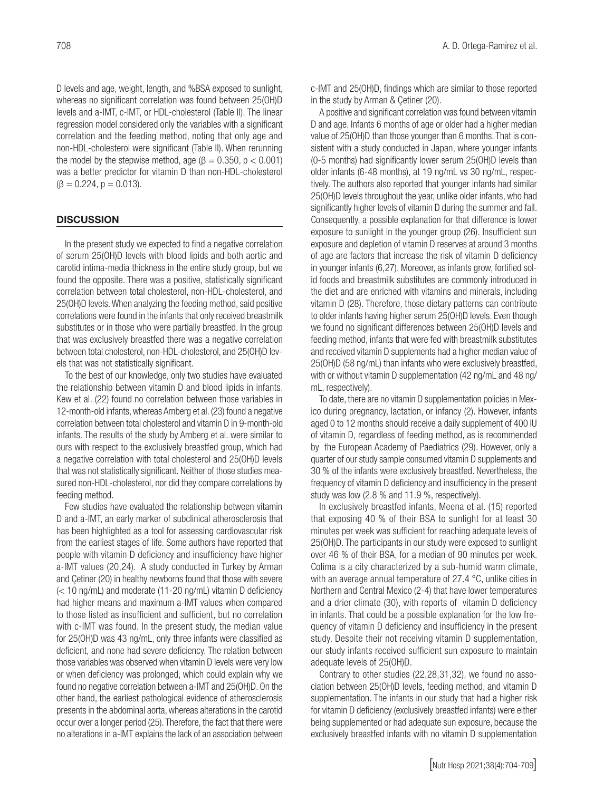D levels and age, weight, length, and %BSA exposed to sunlight, whereas no significant correlation was found between 25(OH)D levels and a-IMT, c-IMT, or HDL-cholesterol (Table II). The linear regression model considered only the variables with a significant correlation and the feeding method, noting that only age and non-HDL-cholesterol were significant (Table II). When rerunning the model by the stepwise method, age ( $\beta = 0.350$ ,  $p < 0.001$ ) was a better predictor for vitamin D than non-HDL-cholesterol  $(\beta = 0.224, p = 0.013).$ 

## **DISCUSSION**

In the present study we expected to find a negative correlation of serum 25(OH)D levels with blood lipids and both aortic and carotid intima-media thickness in the entire study group, but we found the opposite. There was a positive, statistically significant correlation between total cholesterol, non-HDL-cholesterol, and 25(OH)D levels. When analyzing the feeding method, said positive correlations were found in the infants that only received breastmilk substitutes or in those who were partially breastfed. In the group that was exclusively breastfed there was a negative correlation between total cholesterol, non-HDL-cholesterol, and 25(OH)D levels that was not statistically significant.

To the best of our knowledge, only two studies have evaluated the relationship between vitamin D and blood lipids in infants. Kew et al. (22) found no correlation between those variables in 12-month-old infants, whereas Arnberg et al. (23) found a negative correlation between total cholesterol and vitamin D in 9-month-old infants. The results of the study by Arnberg et al. were similar to ours with respect to the exclusively breastfed group, which had a negative correlation with total cholesterol and 25(OH)D levels that was not statistically significant. Neither of those studies measured non-HDL-cholesterol, nor did they compare correlations by feeding method.

Few studies have evaluated the relationship between vitamin D and a-IMT, an early marker of subclinical atherosclerosis that has been highlighted as a tool for assessing cardiovascular risk from the earliest stages of life. Some authors have reported that people with vitamin D deficiency and insufficiency have higher a-IMT values (20,24). A study conducted in Turkey by Arman and Çetiner (20) in healthy newborns found that those with severe (< 10 ng/mL) and moderate (11-20 ng/mL) vitamin D deficiency had higher means and maximum a-IMT values when compared to those listed as insufficient and sufficient, but no correlation with c-IMT was found. In the present study, the median value for 25(OH)D was 43 ng/mL, only three infants were classified as deficient, and none had severe deficiency. The relation between those variables was observed when vitamin D levels were very low or when deficiency was prolonged, which could explain why we found no negative correlation between a-IMT and 25(OH)D. On the other hand, the earliest pathological evidence of atherosclerosis presents in the abdominal aorta, whereas alterations in the carotid occur over a longer period (25). Therefore, the fact that there were no alterations in a-IMT explains the lack of an association between c-IMT and 25(OH)D, findings which are similar to those reported in the study by Arman & Çetiner (20).

A positive and significant correlation was found between vitamin D and age. Infants 6 months of age or older had a higher median value of 25(OH)D than those younger than 6 months. That is consistent with a study conducted in Japan, where younger infants (0-5 months) had significantly lower serum 25(OH)D levels than older infants (6-48 months), at 19 ng/mL vs 30 ng/mL, respectively. The authors also reported that younger infants had similar 25(OH)D levels throughout the year, unlike older infants, who had significantly higher levels of vitamin D during the summer and fall. Consequently, a possible explanation for that difference is lower exposure to sunlight in the younger group (26). Insufficient sun exposure and depletion of vitamin D reserves at around 3 months of age are factors that increase the risk of vitamin D deficiency in younger infants (6,27). Moreover, as infants grow, fortified solid foods and breastmilk substitutes are commonly introduced in the diet and are enriched with vitamins and minerals, including vitamin D (28). Therefore, those dietary patterns can contribute to older infants having higher serum 25(OH)D levels. Even though we found no significant differences between 25(OH)D levels and feeding method, infants that were fed with breastmilk substitutes and received vitamin D supplements had a higher median value of 25(OH)D (58 ng/mL) than infants who were exclusively breastfed, with or without vitamin D supplementation (42 ng/mL and 48 ng/ mL, respectively).

To date, there are no vitamin D supplementation policies in Mexico during pregnancy, lactation, or infancy (2). However, infants aged 0 to 12 months should receive a daily supplement of 400 IU of vitamin D, regardless of feeding method, as is recommended by the European Academy of Paediatrics (29). However, only a quarter of our study sample consumed vitamin D supplements and 30 % of the infants were exclusively breastfed. Nevertheless, the frequency of vitamin D deficiency and insufficiency in the present study was low (2.8 % and 11.9 %, respectively).

In exclusively breastfed infants, Meena et al. (15) reported that exposing 40 % of their BSA to sunlight for at least 30 minutes per week was sufficient for reaching adequate levels of 25(OH)D. The participants in our study were exposed to sunlight over 46 % of their BSA, for a median of 90 minutes per week. Colima is a city characterized by a sub-humid warm climate, with an average annual temperature of 27.4 °C, unlike cities in Northern and Central Mexico (2-4) that have lower temperatures and a drier climate (30), with reports of vitamin D deficiency in infants. That could be a possible explanation for the low frequency of vitamin D deficiency and insufficiency in the present study. Despite their not receiving vitamin D supplementation, our study infants received sufficient sun exposure to maintain adequate levels of 25(OH)D.

Contrary to other studies (22,28,31,32), we found no association between 25(OH)D levels, feeding method, and vitamin D supplementation. The infants in our study that had a higher risk for vitamin D deficiency (exclusively breastfed infants) were either being supplemented or had adequate sun exposure, because the exclusively breastfed infants with no vitamin D supplementation